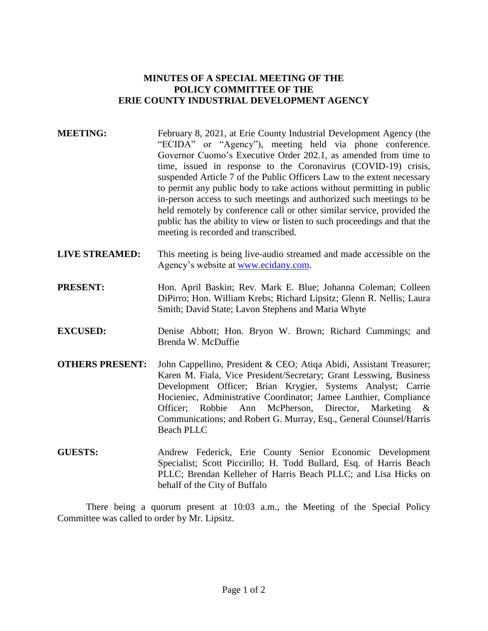## **MINUTES OF A SPECIAL MEETING OF THE POLICY COMMITTEE OF THE ERIE COUNTY INDUSTRIAL DEVELOPMENT AGENCY**

| <b>MEETING:</b> | February 8, 2021, at Erie County Industrial Development Agency (the<br>"ECIDA" or "Agency"), meeting held via phone conference.<br>Governor Cuomo's Executive Order 202.1, as amended from time to<br>time, issued in response to the Coronavirus (COVID-19) crisis,<br>suspended Article 7 of the Public Officers Law to the extent necessary<br>to permit any public body to take actions without permitting in public<br>in-person access to such meetings and authorized such meetings to be<br>held remotely by conference call or other similar service, provided the<br>public has the ability to view or listen to such proceedings and that the<br>meeting is recorded and transcribed. |
|-----------------|--------------------------------------------------------------------------------------------------------------------------------------------------------------------------------------------------------------------------------------------------------------------------------------------------------------------------------------------------------------------------------------------------------------------------------------------------------------------------------------------------------------------------------------------------------------------------------------------------------------------------------------------------------------------------------------------------|
|                 |                                                                                                                                                                                                                                                                                                                                                                                                                                                                                                                                                                                                                                                                                                  |

- **LIVE STREAMED:** This meeting is being live-audio streamed and made accessible on the Agency's website at [www.ecidany.com.](http://www.ecidany.com/)
- **PRESENT:** Hon. April Baskin; Rev. Mark E. Blue; Johanna Coleman; Colleen DiPirro; Hon. William Krebs; Richard Lipsitz; Glenn R. Nellis; Laura Smith; David State; Lavon Stephens and Maria Whyte
- **EXCUSED:** Denise Abbott; Hon. Bryon W. Brown; Richard Cummings; and Brenda W. McDuffie
- **OTHERS PRESENT:** John Cappellino, President & CEO; Atiqa Abidi, Assistant Treasurer; Karen M. Fiala, Vice President/Secretary; Grant Lesswing, Business Development Officer; Brian Krygier, Systems Analyst; Carrie Hocieniec, Administrative Coordinator; Jamee Lanthier, Compliance Officer; Robbie Ann McPherson, Director, Marketing & Communications; and Robert G. Murray, Esq., General Counsel/Harris Beach PLLC
- **GUESTS:** Andrew Federick, Erie County Senior Economic Development Specialist; Scott Piccirillo; H. Todd Bullard, Esq. of Harris Beach PLLC; Brendan Kelleher of Harris Beach PLLC; and Lisa Hicks on behalf of the City of Buffalo

There being a quorum present at 10:03 a.m., the Meeting of the Special Policy Committee was called to order by Mr. Lipsitz.